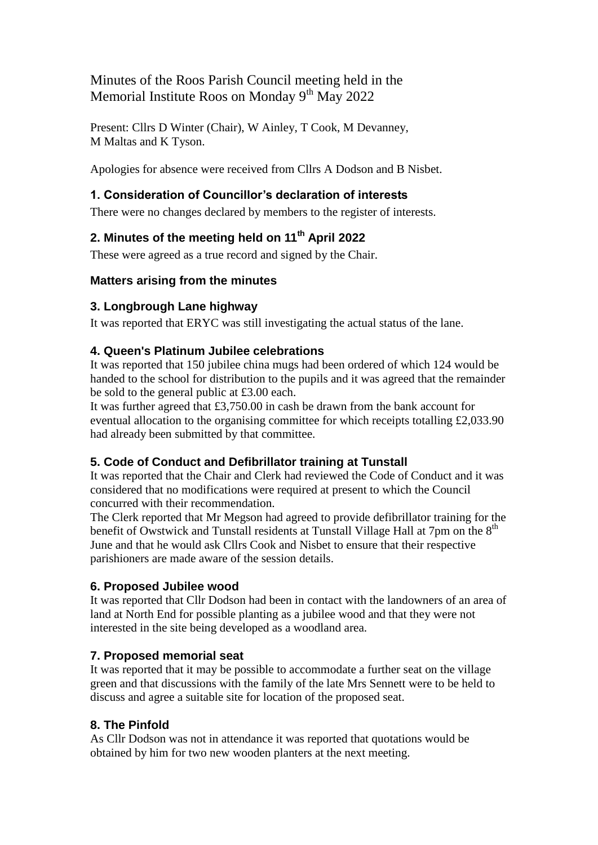Minutes of the Roos Parish Council meeting held in the Memorial Institute Roos on Monday  $9<sup>th</sup>$  May 2022

Present: Cllrs D Winter (Chair), W Ainley, T Cook, M Devanney, M Maltas and K Tyson.

Apologies for absence were received from Cllrs A Dodson and B Nisbet.

#### **1. Consideration of Councillor's declaration of interests**

There were no changes declared by members to the register of interests.

# **2. Minutes of the meeting held on 11th April 2022**

These were agreed as a true record and signed by the Chair.

#### **Matters arising from the minutes**

### **3. Longbrough Lane highway**

It was reported that ERYC was still investigating the actual status of the lane.

#### **4. Queen's Platinum Jubilee celebrations**

It was reported that 150 jubilee china mugs had been ordered of which 124 would be handed to the school for distribution to the pupils and it was agreed that the remainder be sold to the general public at £3.00 each.

It was further agreed that £3,750.00 in cash be drawn from the bank account for eventual allocation to the organising committee for which receipts totalling £2,033.90 had already been submitted by that committee.

#### **5. Code of Conduct and Defibrillator training at Tunstall**

It was reported that the Chair and Clerk had reviewed the Code of Conduct and it was considered that no modifications were required at present to which the Council concurred with their recommendation.

The Clerk reported that Mr Megson had agreed to provide defibrillator training for the benefit of Owstwick and Tunstall residents at Tunstall Village Hall at 7pm on the 8<sup>th</sup> June and that he would ask Cllrs Cook and Nisbet to ensure that their respective parishioners are made aware of the session details.

#### **6. Proposed Jubilee wood**

It was reported that Cllr Dodson had been in contact with the landowners of an area of land at North End for possible planting as a jubilee wood and that they were not interested in the site being developed as a woodland area.

#### **7. Proposed memorial seat**

It was reported that it may be possible to accommodate a further seat on the village green and that discussions with the family of the late Mrs Sennett were to be held to discuss and agree a suitable site for location of the proposed seat.

#### **8. The Pinfold**

As Cllr Dodson was not in attendance it was reported that quotations would be obtained by him for two new wooden planters at the next meeting.